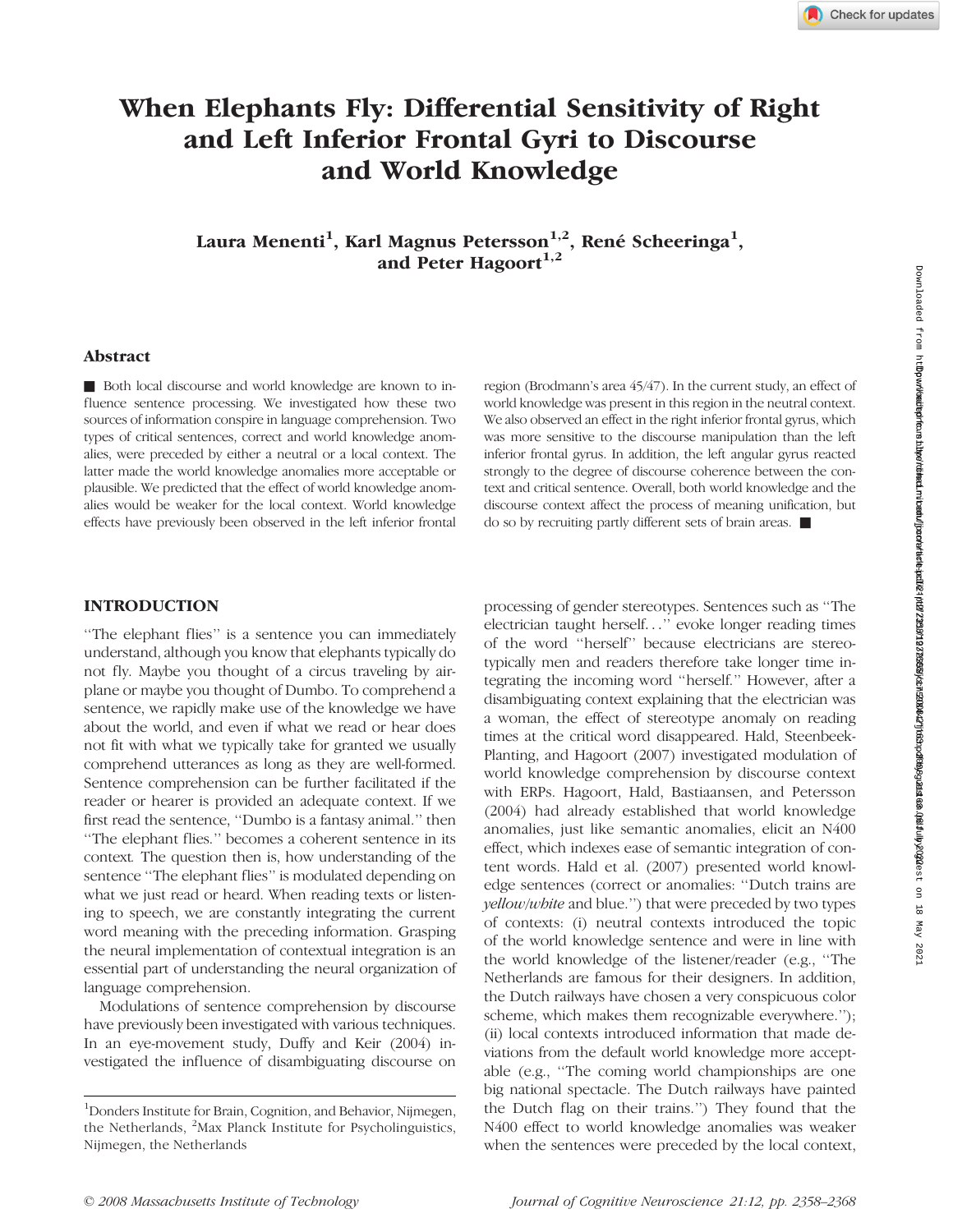# When Elephants Fly: Differential Sensitivity of Right and Left Inferior Frontal Gyri to Discourse and World Knowledge

Laura Menenti $^1$ , Karl Magnus Petersson $^{1,2}$ , René Scheeringa $^1,$ and Peter Hagoort<sup>1,2</sup>

# Abstract

& Both local discourse and world knowledge are known to influence sentence processing. We investigated how these two sources of information conspire in language comprehension. Two types of critical sentences, correct and world knowledge anomalies, were preceded by either a neutral or a local context. The latter made the world knowledge anomalies more acceptable or plausible. We predicted that the effect of world knowledge anomalies would be weaker for the local context. World knowledge effects have previously been observed in the left inferior frontal

region (Brodmann's area 45/47). In the current study, an effect of world knowledge was present in this region in the neutral context. We also observed an effect in the right inferior frontal gyrus, which was more sensitive to the discourse manipulation than the left inferior frontal gyrus. In addition, the left angular gyrus reacted strongly to the degree of discourse coherence between the context and critical sentence. Overall, both world knowledge and the discourse context affect the process of meaning unification, but do so by recruiting partly different sets of brain areas.  $\blacksquare$ 

# INTRODUCTION

''The elephant flies'' is a sentence you can immediately understand, although you know that elephants typically do not fly. Maybe you thought of a circus traveling by airplane or maybe you thought of Dumbo. To comprehend a sentence, we rapidly make use of the knowledge we have about the world, and even if what we read or hear does not fit with what we typically take for granted we usually comprehend utterances as long as they are well-formed. Sentence comprehension can be further facilitated if the reader or hearer is provided an adequate context. If we first read the sentence, ''Dumbo is a fantasy animal.'' then ''The elephant flies.'' becomes a coherent sentence in its context. The question then is, how understanding of the sentence ''The elephant flies'' is modulated depending on what we just read or heard. When reading texts or listening to speech, we are constantly integrating the current word meaning with the preceding information. Grasping the neural implementation of contextual integration is an essential part of understanding the neural organization of language comprehension.

Modulations of sentence comprehension by discourse have previously been investigated with various techniques. In an eye-movement study, Duffy and Keir (2004) investigated the influence of disambiguating discourse on

processing of gender stereotypes. Sentences such as ''The electrician taught herself...'' evoke longer reading times of the word ''herself'' because electricians are stereotypically men and readers therefore take longer time integrating the incoming word ''herself.'' However, after a disambiguating context explaining that the electrician was a woman, the effect of stereotype anomaly on reading times at the critical word disappeared. Hald, Steenbeek-Planting, and Hagoort (2007) investigated modulation of world knowledge comprehension by discourse context with ERPs. Hagoort, Hald, Bastiaansen, and Petersson (2004) had already established that world knowledge anomalies, just like semantic anomalies, elicit an N400 effect, which indexes ease of semantic integration of content words. Hald et al. (2007) presented world knowledge sentences (correct or anomalies: ''Dutch trains are yellow/white and blue.") that were preceded by two types of contexts: (i) neutral contexts introduced the topic of the world knowledge sentence and were in line with the world knowledge of the listener/reader (e.g., ''The Netherlands are famous for their designers. In addition, the Dutch railways have chosen a very conspicuous color scheme, which makes them recognizable everywhere.''); (ii) local contexts introduced information that made deviations from the default world knowledge more acceptable (e.g., ''The coming world championships are one big national spectacle. The Dutch railways have painted the Dutch flag on their trains.'') They found that the N400 effect to world knowledge anomalies was weaker when the sentences were preceded by the local context,

<sup>&</sup>lt;sup>1</sup>Donders Institute for Brain, Cognition, and Behavior, Nijmegen, the Netherlands, <sup>2</sup>Max Planck Institute for Psycholinguistics, Nijmegen, the Netherlands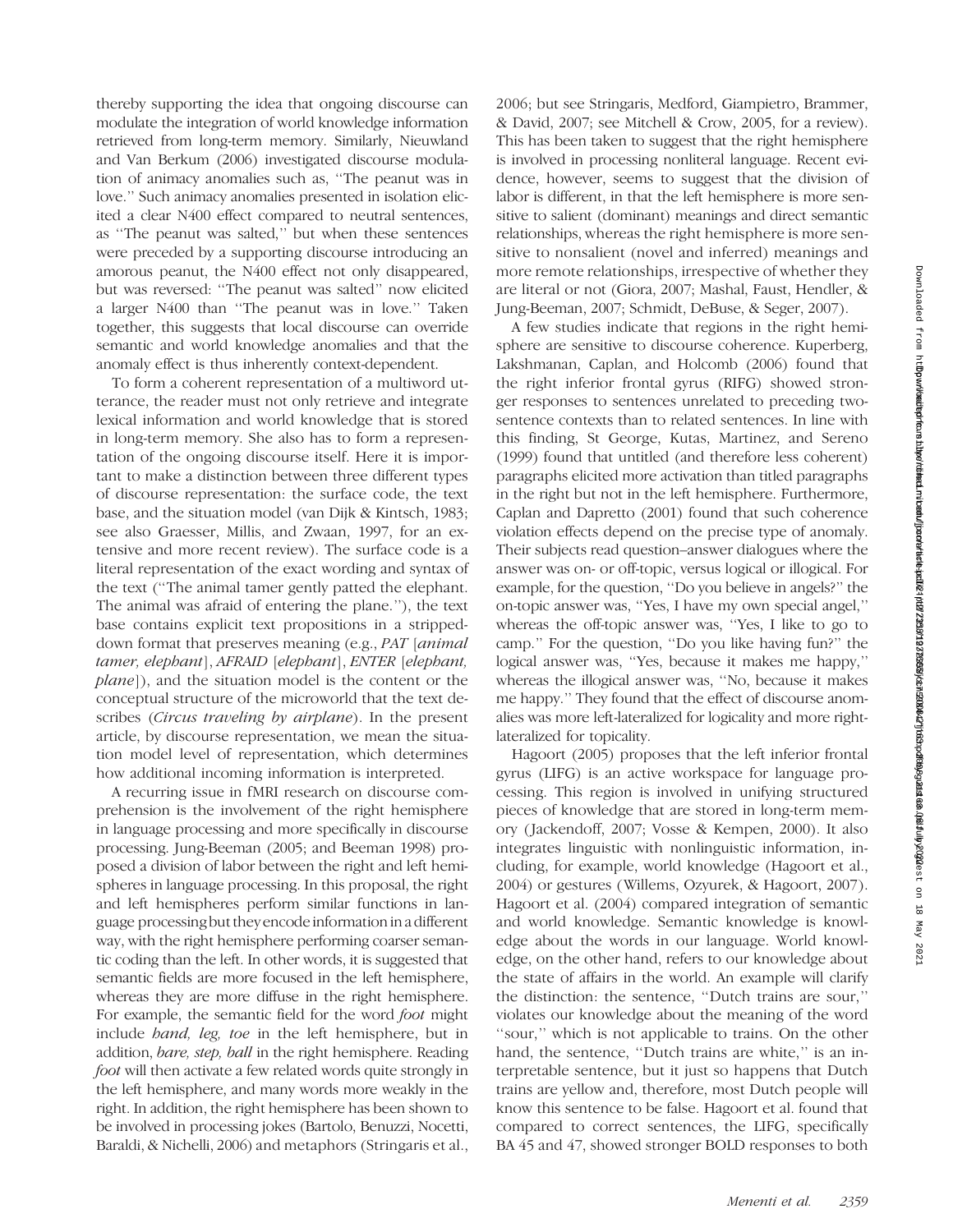thereby supporting the idea that ongoing discourse can modulate the integration of world knowledge information retrieved from long-term memory. Similarly, Nieuwland and Van Berkum (2006) investigated discourse modulation of animacy anomalies such as, ''The peanut was in love.'' Such animacy anomalies presented in isolation elicited a clear N400 effect compared to neutral sentences, as ''The peanut was salted,'' but when these sentences were preceded by a supporting discourse introducing an amorous peanut, the N400 effect not only disappeared, but was reversed: ''The peanut was salted'' now elicited a larger N400 than ''The peanut was in love.'' Taken together, this suggests that local discourse can override semantic and world knowledge anomalies and that the anomaly effect is thus inherently context-dependent.

To form a coherent representation of a multiword utterance, the reader must not only retrieve and integrate lexical information and world knowledge that is stored in long-term memory. She also has to form a representation of the ongoing discourse itself. Here it is important to make a distinction between three different types of discourse representation: the surface code, the text base, and the situation model (van Dijk & Kintsch, 1983; see also Graesser, Millis, and Zwaan, 1997, for an extensive and more recent review). The surface code is a literal representation of the exact wording and syntax of the text (''The animal tamer gently patted the elephant. The animal was afraid of entering the plane.''), the text base contains explicit text propositions in a strippeddown format that preserves meaning (e.g., PAT [animal tamer, elephant], AFRAID [elephant], ENTER [elephant, *plane*]), and the situation model is the content or the conceptual structure of the microworld that the text describes (Circus traveling by airplane). In the present article, by discourse representation, we mean the situation model level of representation, which determines how additional incoming information is interpreted.

A recurring issue in fMRI research on discourse comprehension is the involvement of the right hemisphere in language processing and more specifically in discourse processing. Jung-Beeman (2005; and Beeman 1998) proposed a division of labor between the right and left hemispheres in language processing. In this proposal, the right and left hemispheres perform similar functions in language processing but they encode information in a different way, with the right hemisphere performing coarser semantic coding than the left. In other words, it is suggested that semantic fields are more focused in the left hemisphere, whereas they are more diffuse in the right hemisphere. For example, the semantic field for the word foot might include hand, leg, toe in the left hemisphere, but in addition, bare, step, ball in the right hemisphere. Reading foot will then activate a few related words quite strongly in the left hemisphere, and many words more weakly in the right. In addition, the right hemisphere has been shown to be involved in processing jokes (Bartolo, Benuzzi, Nocetti, Baraldi, & Nichelli, 2006) and metaphors (Stringaris et al.,

2006; but see Stringaris, Medford, Giampietro, Brammer, & David, 2007; see Mitchell & Crow, 2005, for a review). This has been taken to suggest that the right hemisphere is involved in processing nonliteral language. Recent evidence, however, seems to suggest that the division of labor is different, in that the left hemisphere is more sensitive to salient (dominant) meanings and direct semantic relationships, whereas the right hemisphere is more sensitive to nonsalient (novel and inferred) meanings and more remote relationships, irrespective of whether they are literal or not (Giora, 2007; Mashal, Faust, Hendler, & Jung-Beeman, 2007; Schmidt, DeBuse, & Seger, 2007).

A few studies indicate that regions in the right hemisphere are sensitive to discourse coherence. Kuperberg, Lakshmanan, Caplan, and Holcomb (2006) found that the right inferior frontal gyrus (RIFG) showed stronger responses to sentences unrelated to preceding twosentence contexts than to related sentences. In line with this finding, St George, Kutas, Martinez, and Sereno (1999) found that untitled (and therefore less coherent) paragraphs elicited more activation than titled paragraphs in the right but not in the left hemisphere. Furthermore, Caplan and Dapretto (2001) found that such coherence violation effects depend on the precise type of anomaly. Their subjects read question–answer dialogues where the answer was on- or off-topic, versus logical or illogical. For example, for the question, ''Do you believe in angels?'' the on-topic answer was, ''Yes, I have my own special angel,'' whereas the off-topic answer was, ''Yes, I like to go to camp.'' For the question, ''Do you like having fun?'' the logical answer was, ''Yes, because it makes me happy,'' whereas the illogical answer was, ''No, because it makes me happy.'' They found that the effect of discourse anomalies was more left-lateralized for logicality and more rightlateralized for topicality.

Hagoort (2005) proposes that the left inferior frontal gyrus (LIFG) is an active workspace for language processing. This region is involved in unifying structured pieces of knowledge that are stored in long-term memory (Jackendoff, 2007; Vosse & Kempen, 2000). It also integrates linguistic with nonlinguistic information, including, for example, world knowledge (Hagoort et al., 2004) or gestures (Willems, Ozyurek, & Hagoort, 2007). Hagoort et al. (2004) compared integration of semantic and world knowledge. Semantic knowledge is knowledge about the words in our language. World knowledge, on the other hand, refers to our knowledge about the state of affairs in the world. An example will clarify the distinction: the sentence, ''Dutch trains are sour,'' violates our knowledge about the meaning of the word "sour," which is not applicable to trains. On the other hand, the sentence, "Dutch trains are white," is an interpretable sentence, but it just so happens that Dutch trains are yellow and, therefore, most Dutch people will know this sentence to be false. Hagoort et al. found that compared to correct sentences, the LIFG, specifically BA 45 and 47, showed stronger BOLD responses to both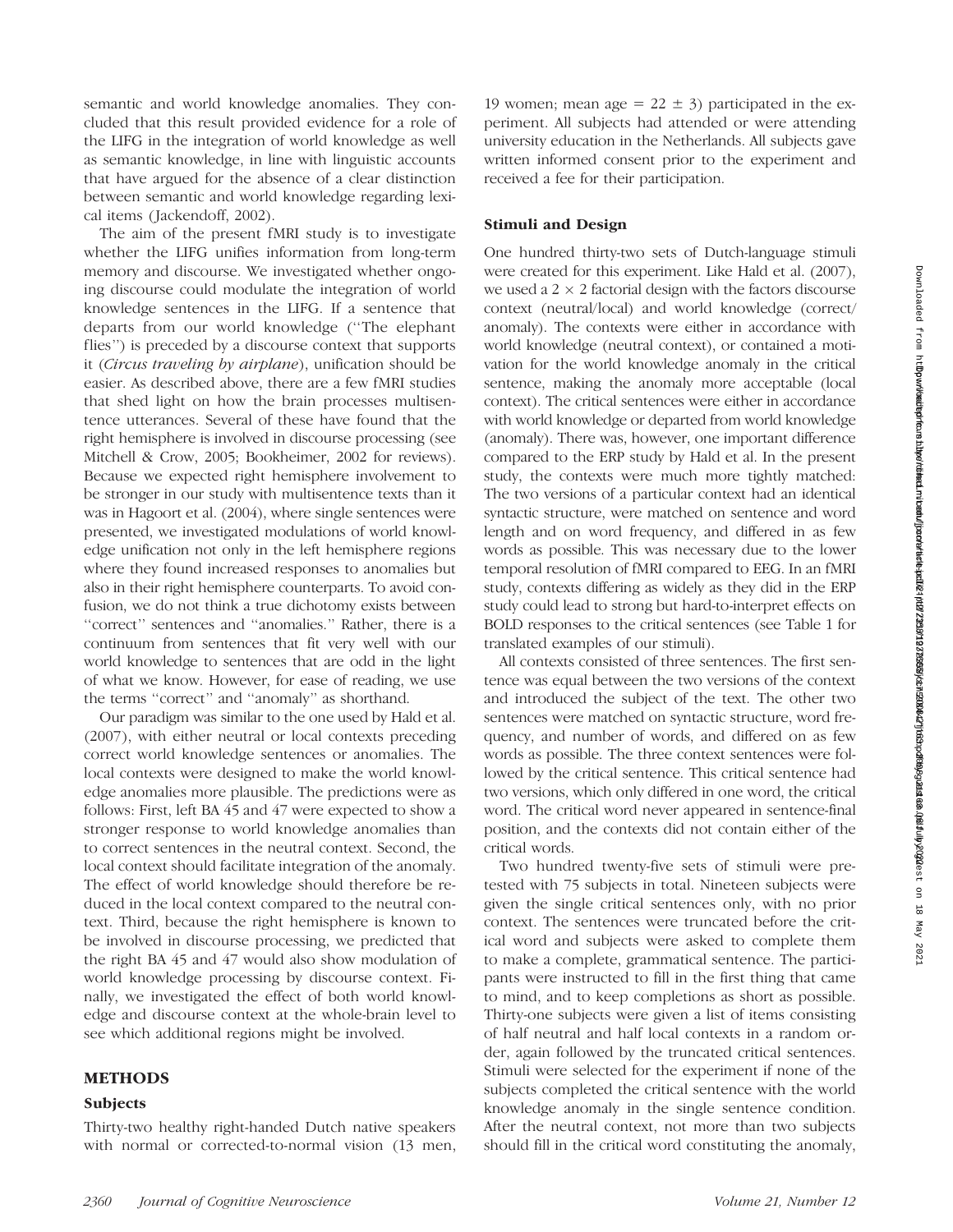semantic and world knowledge anomalies. They concluded that this result provided evidence for a role of the LIFG in the integration of world knowledge as well as semantic knowledge, in line with linguistic accounts that have argued for the absence of a clear distinction between semantic and world knowledge regarding lexical items (Jackendoff, 2002).

The aim of the present fMRI study is to investigate whether the LIFG unifies information from long-term memory and discourse. We investigated whether ongoing discourse could modulate the integration of world knowledge sentences in the LIFG. If a sentence that departs from our world knowledge (''The elephant flies'') is preceded by a discourse context that supports it (Circus traveling by airplane), unification should be easier. As described above, there are a few fMRI studies that shed light on how the brain processes multisentence utterances. Several of these have found that the right hemisphere is involved in discourse processing (see Mitchell & Crow, 2005; Bookheimer, 2002 for reviews). Because we expected right hemisphere involvement to be stronger in our study with multisentence texts than it was in Hagoort et al. (2004), where single sentences were presented, we investigated modulations of world knowledge unification not only in the left hemisphere regions where they found increased responses to anomalies but also in their right hemisphere counterparts. To avoid confusion, we do not think a true dichotomy exists between ''correct'' sentences and ''anomalies.'' Rather, there is a continuum from sentences that fit very well with our world knowledge to sentences that are odd in the light of what we know. However, for ease of reading, we use the terms ''correct'' and ''anomaly'' as shorthand.

Our paradigm was similar to the one used by Hald et al. (2007), with either neutral or local contexts preceding correct world knowledge sentences or anomalies. The local contexts were designed to make the world knowledge anomalies more plausible. The predictions were as follows: First, left BA 45 and 47 were expected to show a stronger response to world knowledge anomalies than to correct sentences in the neutral context. Second, the local context should facilitate integration of the anomaly. The effect of world knowledge should therefore be reduced in the local context compared to the neutral context. Third, because the right hemisphere is known to be involved in discourse processing, we predicted that the right BA 45 and 47 would also show modulation of world knowledge processing by discourse context. Finally, we investigated the effect of both world knowledge and discourse context at the whole-brain level to see which additional regions might be involved.

## METHODS

## Subjects

Thirty-two healthy right-handed Dutch native speakers with normal or corrected-to-normal vision (13 men,

19 women; mean age =  $22 \pm 3$ ) participated in the experiment. All subjects had attended or were attending university education in the Netherlands. All subjects gave written informed consent prior to the experiment and received a fee for their participation.

### Stimuli and Design

One hundred thirty-two sets of Dutch-language stimuli were created for this experiment. Like Hald et al. (2007), we used a  $2 \times 2$  factorial design with the factors discourse context (neutral/local) and world knowledge (correct/ anomaly). The contexts were either in accordance with world knowledge (neutral context), or contained a motivation for the world knowledge anomaly in the critical sentence, making the anomaly more acceptable (local context). The critical sentences were either in accordance with world knowledge or departed from world knowledge (anomaly). There was, however, one important difference compared to the ERP study by Hald et al. In the present study, the contexts were much more tightly matched: The two versions of a particular context had an identical syntactic structure, were matched on sentence and word length and on word frequency, and differed in as few words as possible. This was necessary due to the lower temporal resolution of fMRI compared to EEG. In an fMRI study, contexts differing as widely as they did in the ERP study could lead to strong but hard-to-interpret effects on BOLD responses to the critical sentences (see Table 1 for translated examples of our stimuli).

All contexts consisted of three sentences. The first sentence was equal between the two versions of the context and introduced the subject of the text. The other two sentences were matched on syntactic structure, word frequency, and number of words, and differed on as few words as possible. The three context sentences were followed by the critical sentence. This critical sentence had two versions, which only differed in one word, the critical word. The critical word never appeared in sentence-final position, and the contexts did not contain either of the critical words.

Two hundred twenty-five sets of stimuli were pretested with 75 subjects in total. Nineteen subjects were given the single critical sentences only, with no prior context. The sentences were truncated before the critical word and subjects were asked to complete them to make a complete, grammatical sentence. The participants were instructed to fill in the first thing that came to mind, and to keep completions as short as possible. Thirty-one subjects were given a list of items consisting of half neutral and half local contexts in a random order, again followed by the truncated critical sentences. Stimuli were selected for the experiment if none of the subjects completed the critical sentence with the world knowledge anomaly in the single sentence condition. After the neutral context, not more than two subjects should fill in the critical word constituting the anomaly,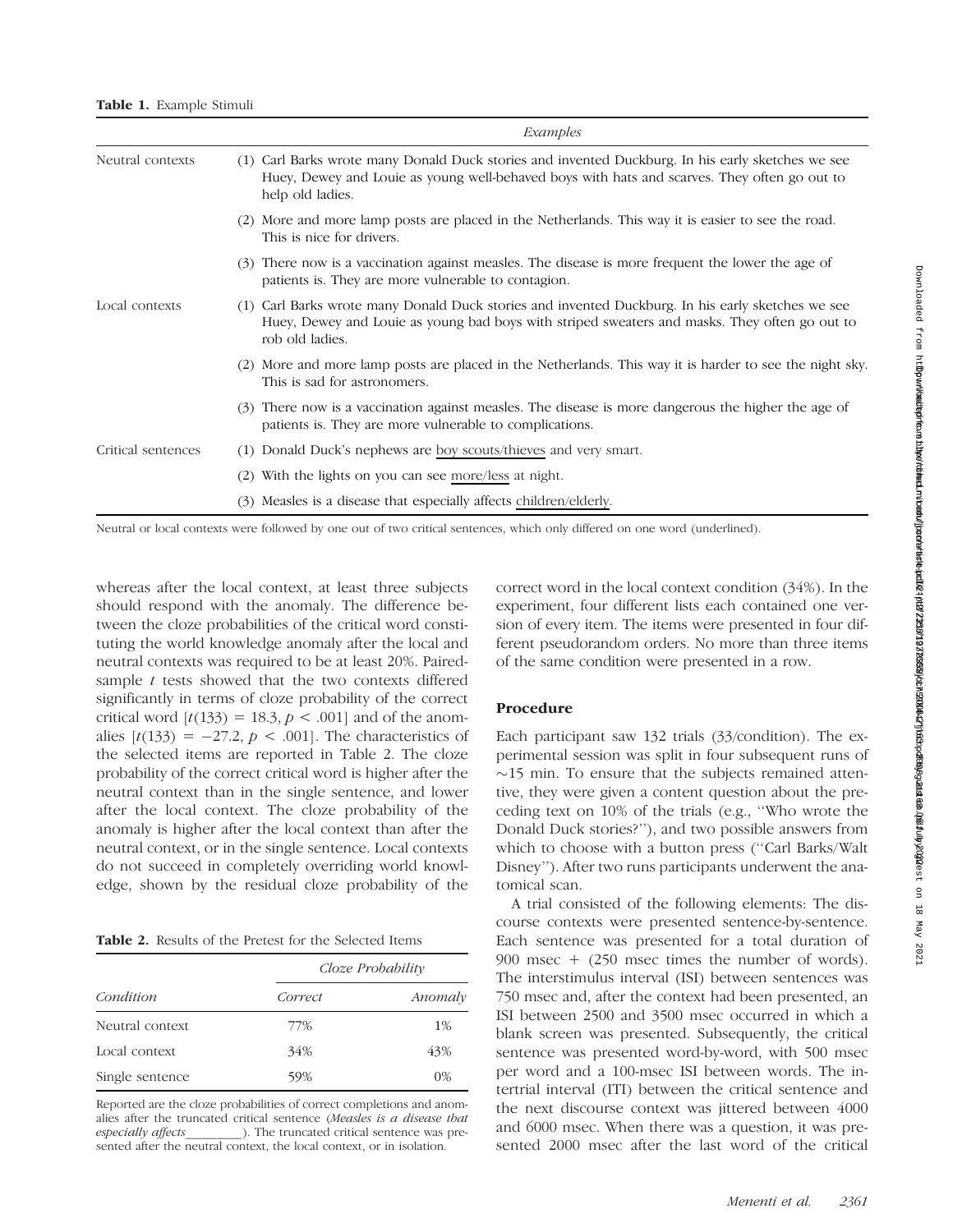|                    | Examples                                                                                                                                                                                                                 |
|--------------------|--------------------------------------------------------------------------------------------------------------------------------------------------------------------------------------------------------------------------|
| Neutral contexts   | Carl Barks wrote many Donald Duck stories and invented Duckburg. In his early sketches we see<br>(1)<br>Huey, Dewey and Louie as young well-behaved boys with hats and scarves. They often go out to<br>help old ladies. |
|                    | More and more lamp posts are placed in the Netherlands. This way it is easier to see the road.<br>(2)<br>This is nice for drivers.                                                                                       |
|                    | There now is a vaccination against measles. The disease is more frequent the lower the age of<br>(3)<br>patients is. They are more vulnerable to contagion.                                                              |
| Local contexts     | Carl Barks wrote many Donald Duck stories and invented Duckburg. In his early sketches we see<br>(1)<br>Huey, Dewey and Louie as young bad boys with striped sweaters and masks. They often go out to<br>rob old ladies. |
|                    | (2) More and more lamp posts are placed in the Netherlands. This way it is harder to see the night sky.<br>This is sad for astronomers.                                                                                  |
|                    | There now is a vaccination against measles. The disease is more dangerous the higher the age of<br>(3)<br>patients is. They are more vulnerable to complications.                                                        |
| Critical sentences | Donald Duck's nephews are boy scouts/thieves and very smart.<br>(1)                                                                                                                                                      |
|                    | With the lights on you can see more/less at night.<br>(2)                                                                                                                                                                |
|                    | (3) Measles is a disease that especially affects children/elderly.                                                                                                                                                       |

Neutral or local contexts were followed by one out of two critical sentences, which only differed on one word (underlined).

whereas after the local context, at least three subjects should respond with the anomaly. The difference between the cloze probabilities of the critical word constituting the world knowledge anomaly after the local and neutral contexts was required to be at least 20%. Pairedsample  $t$  tests showed that the two contexts differed significantly in terms of cloze probability of the correct critical word  $[t(133) = 18.3, p < .001]$  and of the anomalies  $[t(133) = -27.2, p < .001]$ . The characteristics of the selected items are reported in Table 2. The cloze probability of the correct critical word is higher after the neutral context than in the single sentence, and lower after the local context. The cloze probability of the anomaly is higher after the local context than after the neutral context, or in the single sentence. Local contexts do not succeed in completely overriding world knowledge, shown by the residual cloze probability of the

Table 2. Results of the Pretest for the Selected Items

|                 |         | Cloze Probability |
|-----------------|---------|-------------------|
| Condition       | Correct | Anomaly           |
| Neutral context | 77%     | 1%                |
| Local context   | 34%     | 43%               |
| Single sentence | 59%     | 0%                |

Reported are the cloze probabilities of correct completions and anomalies after the truncated critical sentence (Measles is a disease that especially affects  $\qquad$ ). The truncated critical sentence was presented after the neutral context, the local context, or in isolation.

correct word in the local context condition (34%). In the experiment, four different lists each contained one version of every item. The items were presented in four different pseudorandom orders. No more than three items of the same condition were presented in a row.

## Procedure

Each participant saw 132 trials (33/condition). The experimental session was split in four subsequent runs of  $\sim$ 15 min. To ensure that the subjects remained attentive, they were given a content question about the preceding text on 10% of the trials (e.g., ''Who wrote the Donald Duck stories?''), and two possible answers from which to choose with a button press (''Carl Barks/Walt Disney''). After two runs participants underwent the anatomical scan.

A trial consisted of the following elements: The discourse contexts were presented sentence-by-sentence. Each sentence was presented for a total duration of 900 msec + (250 msec times the number of words). The interstimulus interval (ISI) between sentences was 750 msec and, after the context had been presented, an ISI between 2500 and 3500 msec occurred in which a blank screen was presented. Subsequently, the critical sentence was presented word-by-word, with 500 msec per word and a 100-msec ISI between words. The intertrial interval (ITI) between the critical sentence and the next discourse context was jittered between 4000 and 6000 msec. When there was a question, it was presented 2000 msec after the last word of the critical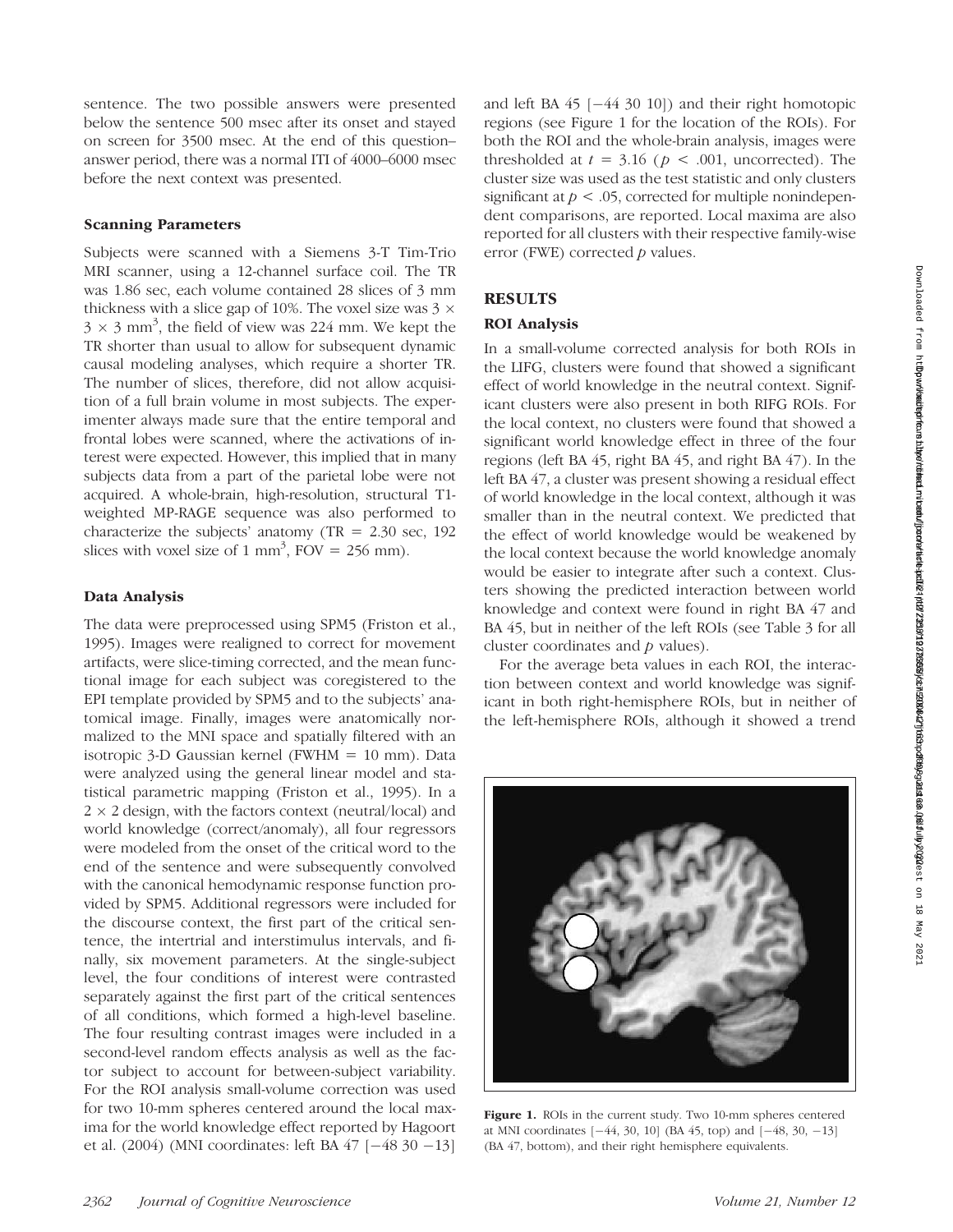sentence. The two possible answers were presented below the sentence 500 msec after its onset and stayed on screen for 3500 msec. At the end of this question– answer period, there was a normal ITI of 4000–6000 msec before the next context was presented.

### Scanning Parameters

Subjects were scanned with a Siemens 3-T Tim-Trio MRI scanner, using a 12-channel surface coil. The TR was 1.86 sec, each volume contained 28 slices of 3 mm thickness with a slice gap of 10%. The voxel size was  $3 \times$  $3 \times 3$  mm<sup>3</sup>, the field of view was 224 mm. We kept the TR shorter than usual to allow for subsequent dynamic causal modeling analyses, which require a shorter TR. The number of slices, therefore, did not allow acquisition of a full brain volume in most subjects. The experimenter always made sure that the entire temporal and frontal lobes were scanned, where the activations of interest were expected. However, this implied that in many subjects data from a part of the parietal lobe were not acquired. A whole-brain, high-resolution, structural T1 weighted MP-RAGE sequence was also performed to characterize the subjects' anatomy (TR =  $2.30$  sec, 192 slices with voxel size of 1 mm<sup>3</sup>,  $FOV = 256$  mm).

## Data Analysis

The data were preprocessed using SPM5 (Friston et al., 1995). Images were realigned to correct for movement artifacts, were slice-timing corrected, and the mean functional image for each subject was coregistered to the EPI template provided by SPM5 and to the subjects' anatomical image. Finally, images were anatomically normalized to the MNI space and spatially filtered with an isotropic 3-D Gaussian kernel (FWHM = 10 mm). Data were analyzed using the general linear model and statistical parametric mapping (Friston et al., 1995). In a  $2 \times 2$  design, with the factors context (neutral/local) and world knowledge (correct/anomaly), all four regressors were modeled from the onset of the critical word to the end of the sentence and were subsequently convolved with the canonical hemodynamic response function provided by SPM5. Additional regressors were included for the discourse context, the first part of the critical sentence, the intertrial and interstimulus intervals, and finally, six movement parameters. At the single-subject level, the four conditions of interest were contrasted separately against the first part of the critical sentences of all conditions, which formed a high-level baseline. The four resulting contrast images were included in a second-level random effects analysis as well as the factor subject to account for between-subject variability. For the ROI analysis small-volume correction was used for two 10-mm spheres centered around the local maxima for the world knowledge effect reported by Hagoort et al.  $(2004)$  (MNI coordinates: left BA 47  $[-4830 -13]$ 

and left BA 45 [-44 30 10]) and their right homotopic regions (see Figure 1 for the location of the ROIs). For both the ROI and the whole-brain analysis, images were thresholded at  $t = 3.16$  ( $p < .001$ , uncorrected). The cluster size was used as the test statistic and only clusters significant at  $p < 0.05$ , corrected for multiple nonindependent comparisons, are reported. Local maxima are also reported for all clusters with their respective family-wise error (FWE) corrected  $p$  values.

## RESULTS

## ROI Analysis

In a small-volume corrected analysis for both ROIs in the LIFG, clusters were found that showed a significant effect of world knowledge in the neutral context. Significant clusters were also present in both RIFG ROIs. For the local context, no clusters were found that showed a significant world knowledge effect in three of the four regions (left BA 45, right BA 45, and right BA 47). In the left BA 47, a cluster was present showing a residual effect of world knowledge in the local context, although it was smaller than in the neutral context. We predicted that the effect of world knowledge would be weakened by the local context because the world knowledge anomaly would be easier to integrate after such a context. Clusters showing the predicted interaction between world knowledge and context were found in right BA 47 and BA 45, but in neither of the left ROIs (see Table 3 for all cluster coordinates and  $p$  values).

For the average beta values in each ROI, the interaction between context and world knowledge was significant in both right-hemisphere ROIs, but in neither of the left-hemisphere ROIs, although it showed a trend



Figure 1. ROIs in the current study. Two 10-mm spheres centered at MNI coordinates  $[-44, 30, 10]$  (BA  $45$ , top) and  $[-48, 30, -13]$ (BA 47, bottom), and their right hemisphere equivalents.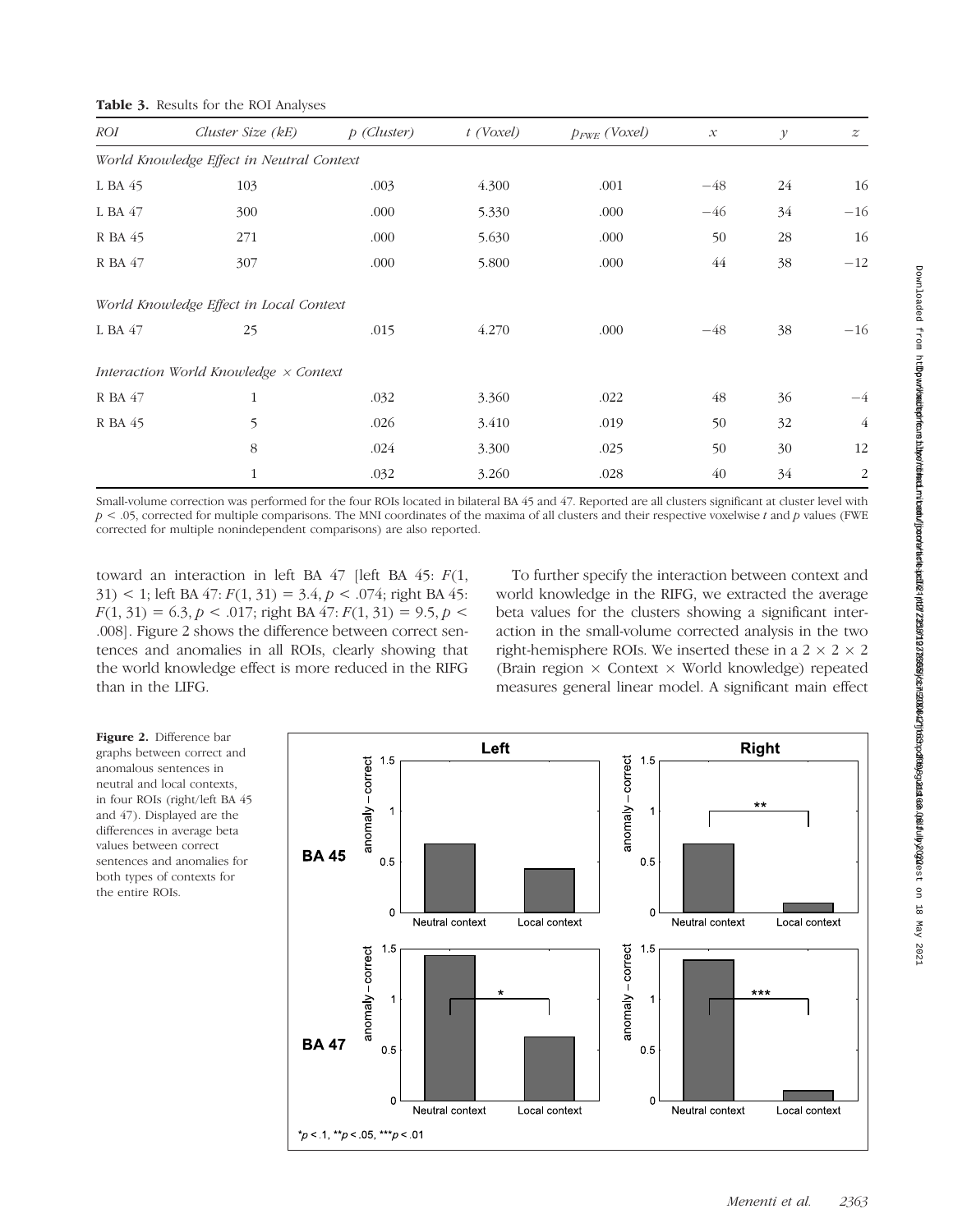| <b>Table 3.</b> Results for the ROI Analyses |  |  |  |  |  |  |
|----------------------------------------------|--|--|--|--|--|--|
|----------------------------------------------|--|--|--|--|--|--|

| <i>ROI</i> | Cluster Size $(kE)$                          | $p$ (Cluster) | $t$ (Voxel) | $p_{FWE}$ (Voxel) | $\mathcal{X}$ | $\mathcal{Y}$ | $\boldsymbol{z}$ |
|------------|----------------------------------------------|---------------|-------------|-------------------|---------------|---------------|------------------|
|            | World Knowledge Effect in Neutral Context    |               |             |                   |               |               |                  |
| L BA 45    | 103                                          | .003          | 4.300       | .001              | $-48$         | 24            | 16               |
| L BA 47    | 300                                          | .000          | 5.330       | .000              | $-46$         | 34            | $-16$            |
| R BA 45    | 271                                          | .000          | 5.630       | .000              | 50            | 28            | 16               |
| R BA 47    | 307                                          | .000          | 5.800       | .000              | 44            | 38            | $-12$            |
|            | World Knowledge Effect in Local Context      |               |             |                   |               |               |                  |
| L BA 47    | 25                                           | .015          | 4.270       | .000              | $-48$         | 38            | $-16$            |
|            | Interaction World Knowledge $\times$ Context |               |             |                   |               |               |                  |
| R BA 47    | 1                                            | .032          | 3.360       | .022              | 48            | 36            | $-4$             |
| R BA 45    | 5                                            | .026          | 3.410       | .019              | 50            | 32            | $\overline{4}$   |
|            | 8                                            | .024          | 3.300       | .025              | 50            | 30            | 12               |
|            | $\mathbf{1}$                                 | .032          | 3.260       | .028              | 40            | 34            | 2                |

Small-volume correction was performed for the four ROIs located in bilateral BA 45 and 47. Reported are all clusters significant at cluster level with  $p < .05$ , corrected for multiple comparisons. The MNI coordinates of the maxima of all clusters and their respective voxelwise t and p values (FWE corrected for multiple nonindependent comparisons) are also reported.

toward an interaction in left BA  $47$  [left BA  $45: F(1, 1)$ ] 31) < 1; left BA  $47: F(1, 31) = 3.4, p < .074$ ; right BA  $45:$  $F(1, 31) = 6.3, p < .017$ ; right BA 47:  $F(1, 31) = 9.5, p <$ .008]. Figure 2 shows the difference between correct sentences and anomalies in all ROIs, clearly showing that the world knowledge effect is more reduced in the RIFG than in the LIFG.

To further specify the interaction between context and world knowledge in the RIFG, we extracted the average beta values for the clusters showing a significant interaction in the small-volume corrected analysis in the two right-hemisphere ROIs. We inserted these in a  $2 \times 2 \times 2$ (Brain region  $\times$  Context  $\times$  World knowledge) repeated measures general linear model. A significant main effect

Figure 2. Difference bar graphs between correct and anomalous sentences in neutral and local contexts, in four ROIs (right/left BA 45 and 47). Displayed are the differences in average beta values between correct sentences and anomalies for both types of contexts for the entire ROIs.

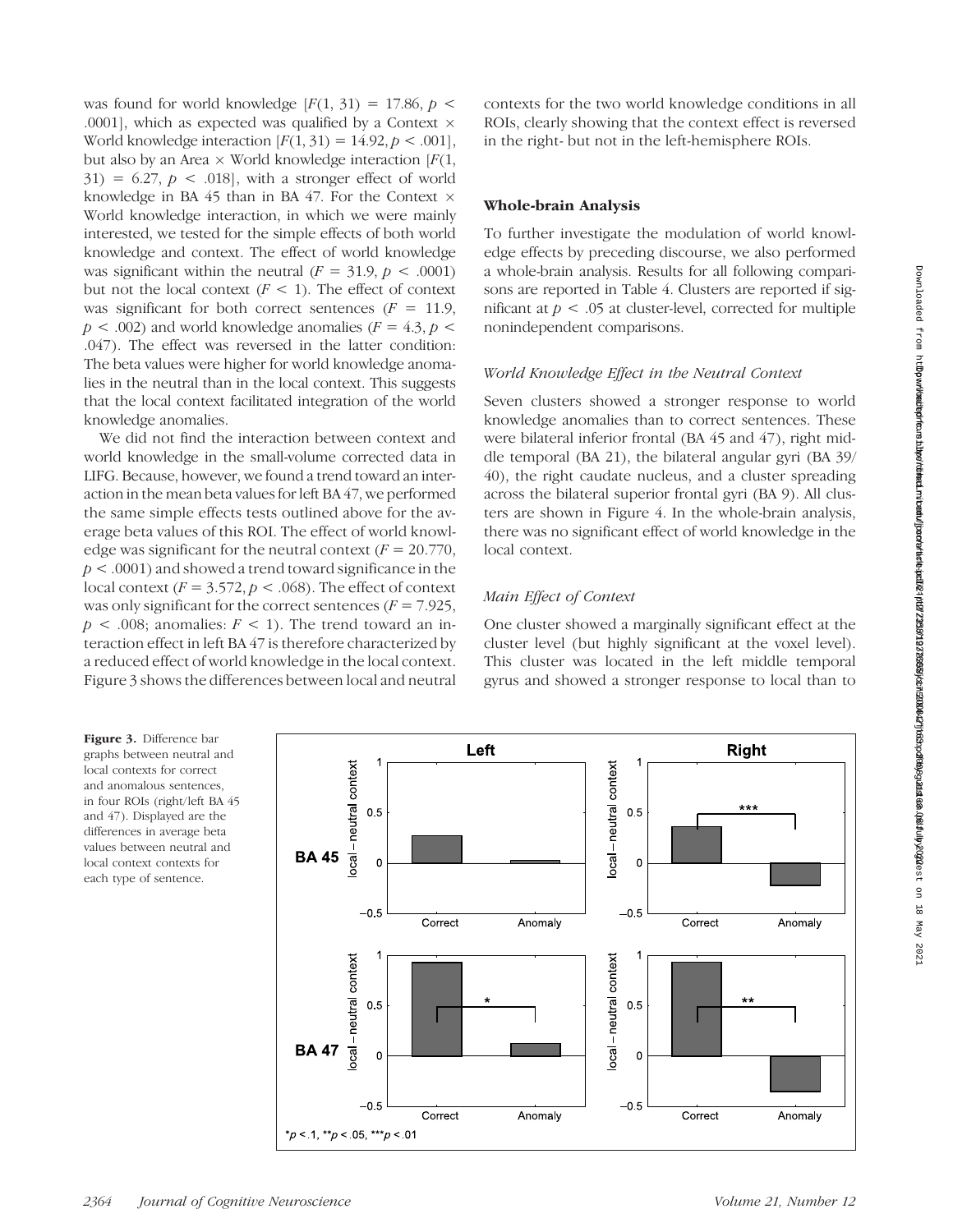was found for world knowledge  $[F(1, 31) = 17.86, p <$ .0001], which as expected was qualified by a Context  $\times$ World knowledge interaction  $[F(1, 31) = 14.92, p < .001]$ , but also by an Area  $\times$  World knowledge interaction [ $F(1,$  $31$ ) = 6.27,  $p < .018$ , with a stronger effect of world knowledge in BA 45 than in BA 47. For the Context  $\times$ World knowledge interaction, in which we were mainly interested, we tested for the simple effects of both world knowledge and context. The effect of world knowledge was significant within the neutral  $(F = 31.9, p < .0001)$ but not the local context  $(F < 1)$ . The effect of context was significant for both correct sentences  $(F = 11.9,$  $p < .002$ ) and world knowledge anomalies ( $F = 4.3$ ,  $p <$ .047). The effect was reversed in the latter condition: The beta values were higher for world knowledge anomalies in the neutral than in the local context. This suggests that the local context facilitated integration of the world knowledge anomalies.

We did not find the interaction between context and world knowledge in the small-volume corrected data in LIFG. Because, however, we found a trend toward an interaction in the mean beta values for left BA 47, we performed the same simple effects tests outlined above for the average beta values of this ROI. The effect of world knowledge was significant for the neutral context ( $F = 20.770$ ,  $p < .0001$ ) and showed a trend toward significance in the local context ( $F = 3.572$ ,  $p < .068$ ). The effect of context was only significant for the correct sentences ( $F = 7.925$ ,  $p < .008$ ; anomalies:  $F < 1$ ). The trend toward an interaction effect in left BA 47 is therefore characterized by a reduced effect of world knowledge in the local context. Figure 3 shows the differences between local and neutral contexts for the two world knowledge conditions in all ROIs, clearly showing that the context effect is reversed in the right- but not in the left-hemisphere ROIs.

## Whole-brain Analysis

To further investigate the modulation of world knowledge effects by preceding discourse, we also performed a whole-brain analysis. Results for all following comparisons are reported in Table 4. Clusters are reported if significant at  $p < .05$  at cluster-level, corrected for multiple nonindependent comparisons.

#### World Knowledge Effect in the Neutral Context

Seven clusters showed a stronger response to world knowledge anomalies than to correct sentences. These were bilateral inferior frontal (BA 45 and 47), right middle temporal (BA 21), the bilateral angular gyri (BA 39/ 40), the right caudate nucleus, and a cluster spreading across the bilateral superior frontal gyri (BA 9). All clusters are shown in Figure 4. In the whole-brain analysis, there was no significant effect of world knowledge in the local context.

## Main Effect of Context

One cluster showed a marginally significant effect at the cluster level (but highly significant at the voxel level). This cluster was located in the left middle temporal gyrus and showed a stronger response to local than to

Figure 3. Difference bar graphs between neutral and local contexts for correct and anomalous sentences, in four ROIs (right/left BA 45 and 47). Displayed are the differences in average beta values between neutral and local context contexts for each type of sentence.

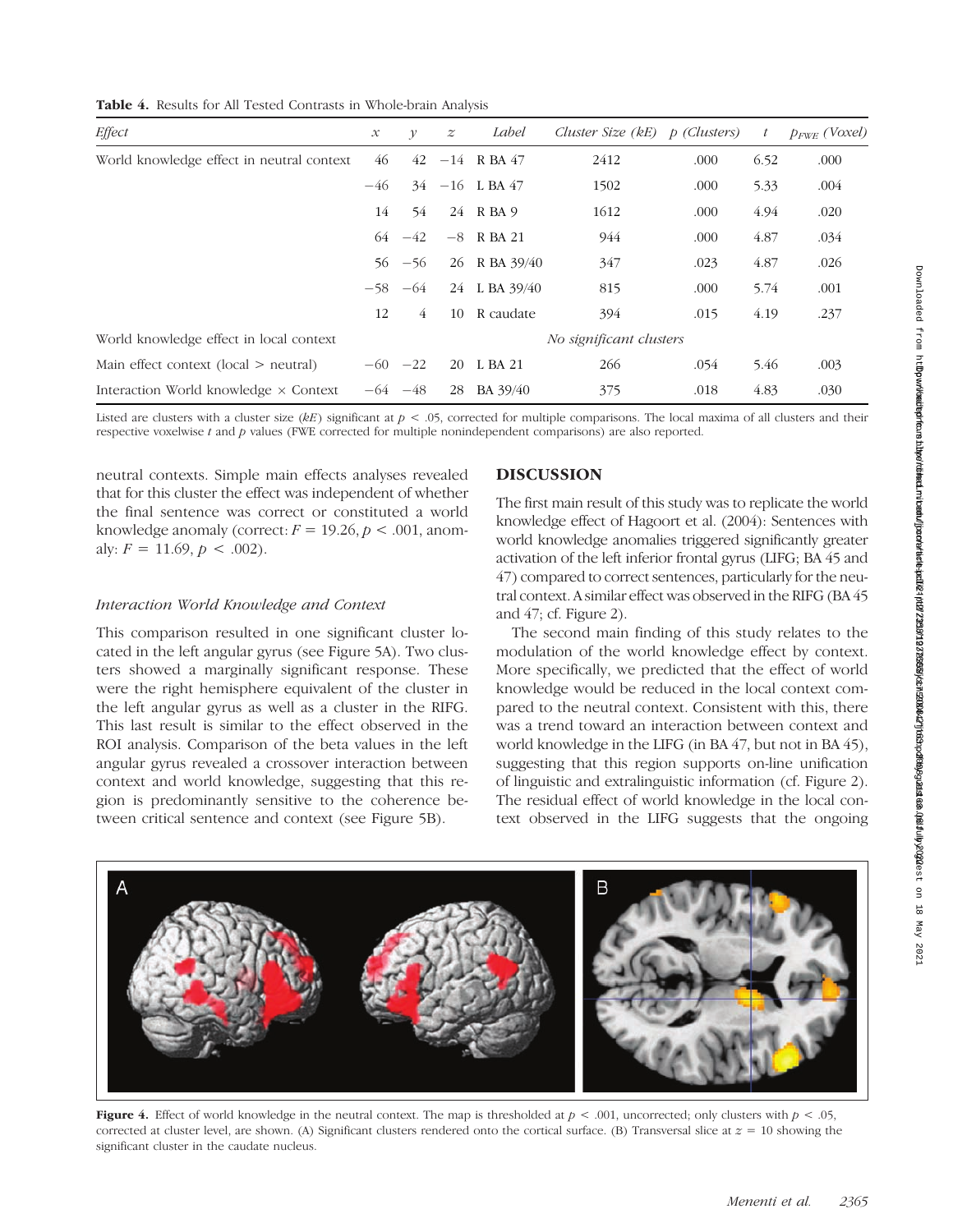Table 4. Results for All Tested Contrasts in Whole-brain Analysis

| Effect                                       | $\mathcal{X}$ | $\mathcal V$ | $\boldsymbol{z}$        | Label            | Cluster Size $(kE)$ p (Clusters) |      | t    | $p_{FWE}$ (Voxel) |
|----------------------------------------------|---------------|--------------|-------------------------|------------------|----------------------------------|------|------|-------------------|
| World knowledge effect in neutral context    | 46            |              |                         | $42 -14$ R BA 47 | 2412                             | .000 | 6.52 | .000              |
|                                              | $-46$         |              |                         | $34 - 16$ LBA 47 | 1502                             | .000 | 5.33 | .004              |
|                                              | 14            | 54           |                         | 24 R BA 9        | 1612                             | .000 | 4.94 | .020              |
|                                              | 64            | $-42$        |                         | $-8$ R BA 21     | 944                              | .000 | 4.87 | .034              |
|                                              |               | $56 - 56$    |                         | 26 R BA 39/40    | 347                              | .023 | 4.87 | .026              |
|                                              | $-58$         | $-64$        |                         | 24 L BA 39/40    | 815                              | .000 | 5.74 | .001              |
|                                              | 12            | 4            |                         | 10 R caudate     | 394                              | .015 | 4.19 | .237              |
| World knowledge effect in local context      |               |              | No significant clusters |                  |                                  |      |      |                   |
| Main effect context ( $local$ > neutral)     | $-60$         | $-22$        |                         | 20 L BA 21       | 266                              | .054 | 5.46 | .003              |
| Interaction World knowledge $\times$ Context | $-64$         | $-48$        | 28                      | BA 39/40         | 375                              | .018 | 4.83 | .030              |

Listed are clusters with a cluster size (kE) significant at  $p < .05$ , corrected for multiple comparisons. The local maxima of all clusters and their respective voxelwise t and p values (FWE corrected for multiple nonindependent comparisons) are also reported.

neutral contexts. Simple main effects analyses revealed that for this cluster the effect was independent of whether the final sentence was correct or constituted a world knowledge anomaly (correct:  $F = 19.26$ ,  $p < .001$ , anomaly:  $F = 11.69$ ,  $p < .002$ ).

## Interaction World Knowledge and Context

This comparison resulted in one significant cluster located in the left angular gyrus (see Figure 5A). Two clusters showed a marginally significant response. These were the right hemisphere equivalent of the cluster in the left angular gyrus as well as a cluster in the RIFG. This last result is similar to the effect observed in the ROI analysis. Comparison of the beta values in the left angular gyrus revealed a crossover interaction between context and world knowledge, suggesting that this region is predominantly sensitive to the coherence between critical sentence and context (see Figure 5B).

# DISCUSSION

The first main result of this study was to replicate the world knowledge effect of Hagoort et al. (2004): Sentences with world knowledge anomalies triggered significantly greater activation of the left inferior frontal gyrus (LIFG; BA 45 and 47) compared to correct sentences, particularly for the neutral context. A similar effect was observed in the RIFG (BA 45 and 47; cf. Figure 2).

The second main finding of this study relates to the modulation of the world knowledge effect by context. More specifically, we predicted that the effect of world knowledge would be reduced in the local context compared to the neutral context. Consistent with this, there was a trend toward an interaction between context and world knowledge in the LIFG (in BA 47, but not in BA 45), suggesting that this region supports on-line unification of linguistic and extralinguistic information (cf. Figure 2). The residual effect of world knowledge in the local context observed in the LIFG suggests that the ongoing



**Figure 4.** Effect of world knowledge in the neutral context. The map is thresholded at  $p < .001$ , uncorrected; only clusters with  $p < .05$ , corrected at cluster level, are shown. (A) Significant clusters rendered onto the cortical surface. (B) Transversal slice at  $z = 10$  showing the significant cluster in the caudate nucleus.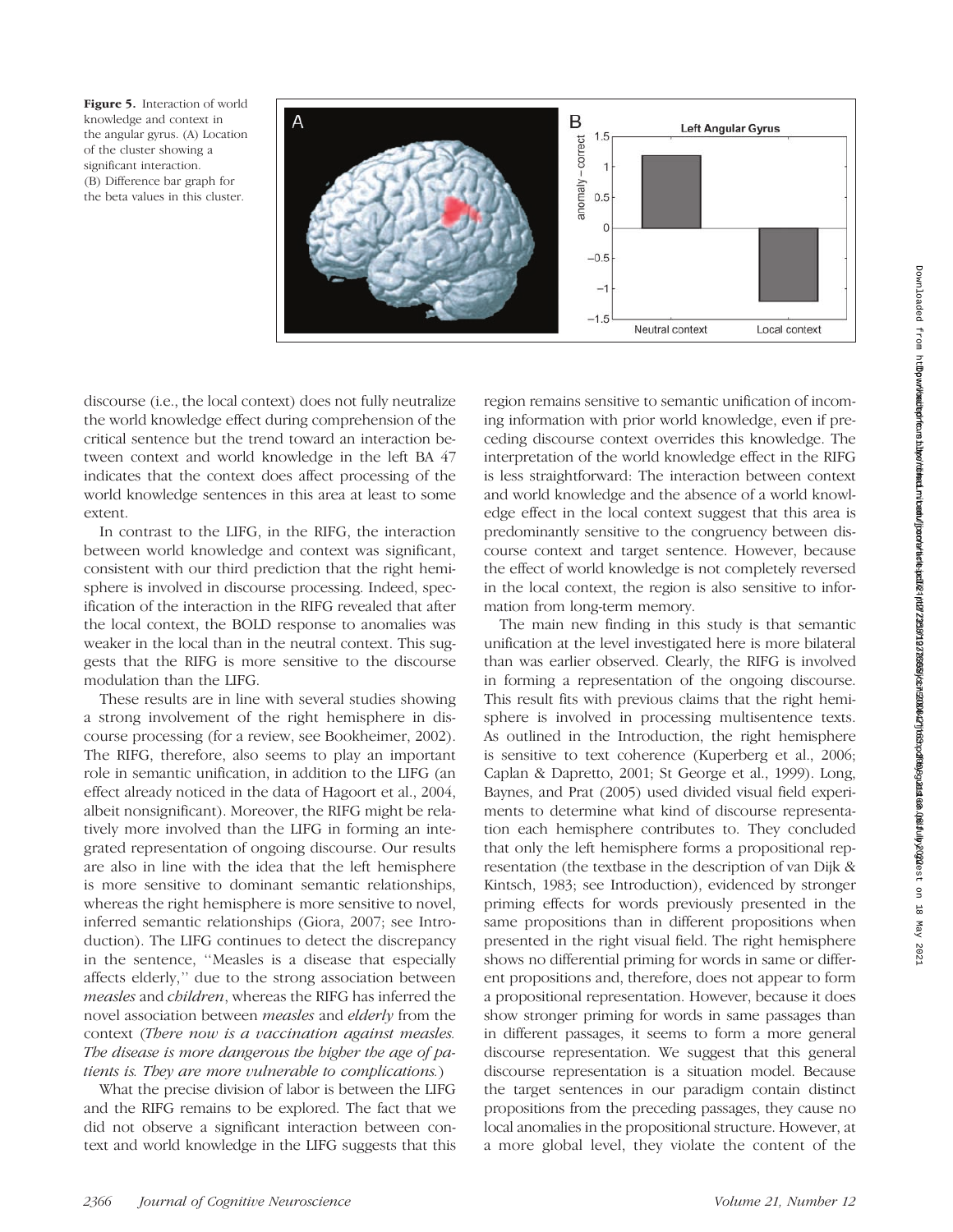Figure 5. Interaction of world knowledge and context in the angular gyrus. (A) Location of the cluster showing a significant interaction. (B) Difference bar graph for the beta values in this cluster.



discourse (i.e., the local context) does not fully neutralize the world knowledge effect during comprehension of the critical sentence but the trend toward an interaction between context and world knowledge in the left BA 47 indicates that the context does affect processing of the world knowledge sentences in this area at least to some extent.

In contrast to the LIFG, in the RIFG, the interaction between world knowledge and context was significant, consistent with our third prediction that the right hemisphere is involved in discourse processing. Indeed, specification of the interaction in the RIFG revealed that after the local context, the BOLD response to anomalies was weaker in the local than in the neutral context. This suggests that the RIFG is more sensitive to the discourse modulation than the LIFG.

These results are in line with several studies showing a strong involvement of the right hemisphere in discourse processing (for a review, see Bookheimer, 2002). The RIFG, therefore, also seems to play an important role in semantic unification, in addition to the LIFG (an effect already noticed in the data of Hagoort et al., 2004, albeit nonsignificant). Moreover, the RIFG might be relatively more involved than the LIFG in forming an integrated representation of ongoing discourse. Our results are also in line with the idea that the left hemisphere is more sensitive to dominant semantic relationships, whereas the right hemisphere is more sensitive to novel, inferred semantic relationships (Giora, 2007; see Introduction). The LIFG continues to detect the discrepancy in the sentence, ''Measles is a disease that especially affects elderly,'' due to the strong association between measles and *children*, whereas the RIFG has inferred the novel association between *measles* and elderly from the context (There now is a vaccination against measles. The disease is more dangerous the higher the age of patients is. They are more vulnerable to complications.)

What the precise division of labor is between the LIFG and the RIFG remains to be explored. The fact that we did not observe a significant interaction between context and world knowledge in the LIFG suggests that this

region remains sensitive to semantic unification of incoming information with prior world knowledge, even if preceding discourse context overrides this knowledge. The interpretation of the world knowledge effect in the RIFG is less straightforward: The interaction between context and world knowledge and the absence of a world knowledge effect in the local context suggest that this area is predominantly sensitive to the congruency between discourse context and target sentence. However, because the effect of world knowledge is not completely reversed in the local context, the region is also sensitive to information from long-term memory.

The main new finding in this study is that semantic unification at the level investigated here is more bilateral than was earlier observed. Clearly, the RIFG is involved in forming a representation of the ongoing discourse. This result fits with previous claims that the right hemisphere is involved in processing multisentence texts. As outlined in the Introduction, the right hemisphere is sensitive to text coherence (Kuperberg et al., 2006; Caplan & Dapretto, 2001; St George et al., 1999). Long, Baynes, and Prat (2005) used divided visual field experiments to determine what kind of discourse representation each hemisphere contributes to. They concluded that only the left hemisphere forms a propositional representation (the textbase in the description of van Dijk & Kintsch, 1983; see Introduction), evidenced by stronger priming effects for words previously presented in the same propositions than in different propositions when presented in the right visual field. The right hemisphere shows no differential priming for words in same or different propositions and, therefore, does not appear to form a propositional representation. However, because it does show stronger priming for words in same passages than in different passages, it seems to form a more general discourse representation. We suggest that this general discourse representation is a situation model. Because the target sentences in our paradigm contain distinct propositions from the preceding passages, they cause no local anomalies in the propositional structure. However, at a more global level, they violate the content of the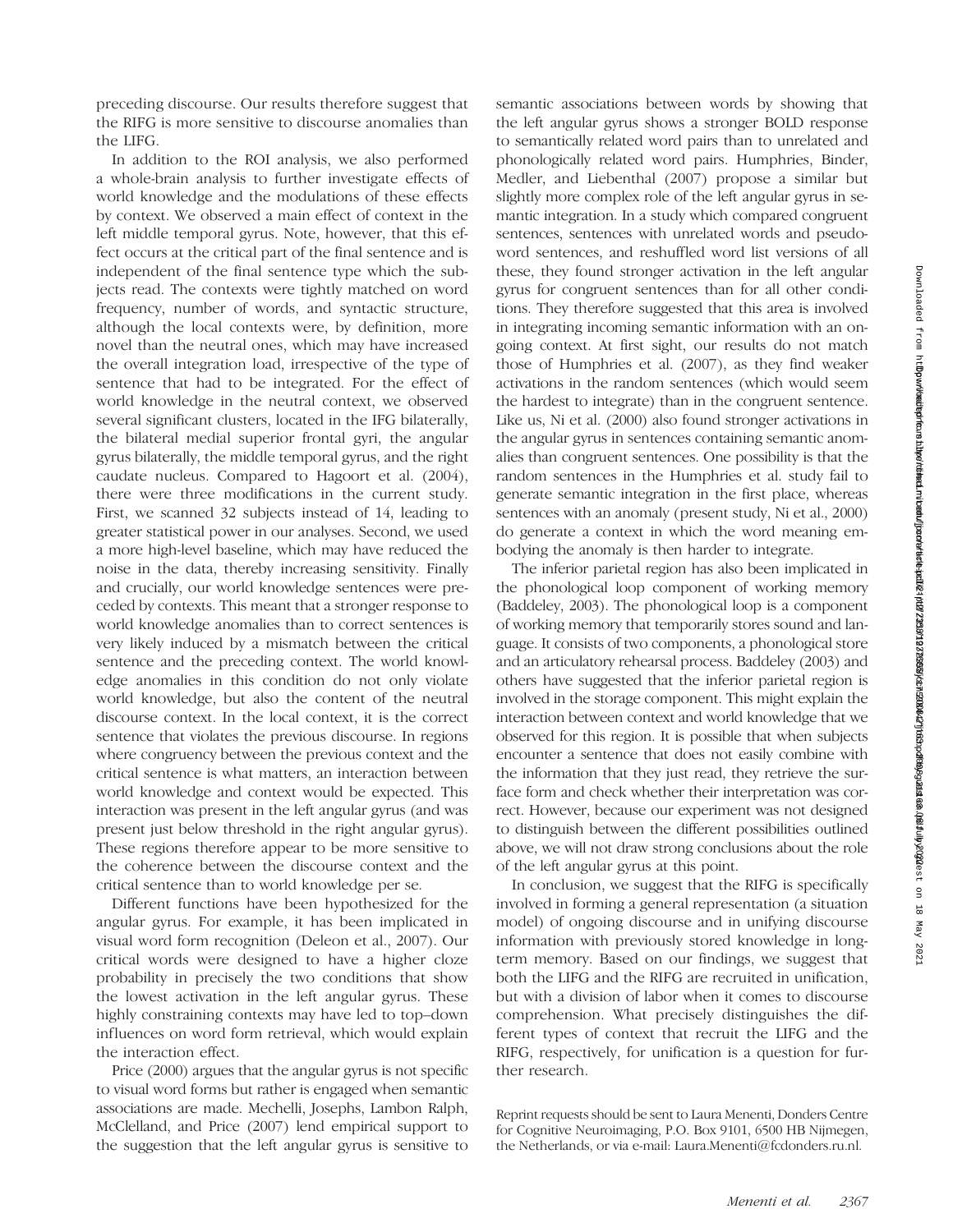preceding discourse. Our results therefore suggest that the RIFG is more sensitive to discourse anomalies than the LIFG.

In addition to the ROI analysis, we also performed a whole-brain analysis to further investigate effects of world knowledge and the modulations of these effects by context. We observed a main effect of context in the left middle temporal gyrus. Note, however, that this effect occurs at the critical part of the final sentence and is independent of the final sentence type which the subjects read. The contexts were tightly matched on word frequency, number of words, and syntactic structure, although the local contexts were, by definition, more novel than the neutral ones, which may have increased the overall integration load, irrespective of the type of sentence that had to be integrated. For the effect of world knowledge in the neutral context, we observed several significant clusters, located in the IFG bilaterally, the bilateral medial superior frontal gyri, the angular gyrus bilaterally, the middle temporal gyrus, and the right caudate nucleus. Compared to Hagoort et al. (2004), there were three modifications in the current study. First, we scanned 32 subjects instead of 14, leading to greater statistical power in our analyses. Second, we used a more high-level baseline, which may have reduced the noise in the data, thereby increasing sensitivity. Finally and crucially, our world knowledge sentences were preceded by contexts. This meant that a stronger response to world knowledge anomalies than to correct sentences is very likely induced by a mismatch between the critical sentence and the preceding context. The world knowledge anomalies in this condition do not only violate world knowledge, but also the content of the neutral discourse context. In the local context, it is the correct sentence that violates the previous discourse. In regions where congruency between the previous context and the critical sentence is what matters, an interaction between world knowledge and context would be expected. This interaction was present in the left angular gyrus (and was present just below threshold in the right angular gyrus). These regions therefore appear to be more sensitive to the coherence between the discourse context and the critical sentence than to world knowledge per se.

Different functions have been hypothesized for the angular gyrus. For example, it has been implicated in visual word form recognition (Deleon et al., 2007). Our critical words were designed to have a higher cloze probability in precisely the two conditions that show the lowest activation in the left angular gyrus. These highly constraining contexts may have led to top–down influences on word form retrieval, which would explain the interaction effect.

Price (2000) argues that the angular gyrus is not specific to visual word forms but rather is engaged when semantic associations are made. Mechelli, Josephs, Lambon Ralph, McClelland, and Price (2007) lend empirical support to the suggestion that the left angular gyrus is sensitive to semantic associations between words by showing that the left angular gyrus shows a stronger BOLD response to semantically related word pairs than to unrelated and phonologically related word pairs. Humphries, Binder, Medler, and Liebenthal (2007) propose a similar but slightly more complex role of the left angular gyrus in semantic integration. In a study which compared congruent sentences, sentences with unrelated words and pseudoword sentences, and reshuffled word list versions of all these, they found stronger activation in the left angular gyrus for congruent sentences than for all other conditions. They therefore suggested that this area is involved in integrating incoming semantic information with an ongoing context. At first sight, our results do not match those of Humphries et al. (2007), as they find weaker activations in the random sentences (which would seem the hardest to integrate) than in the congruent sentence. Like us, Ni et al. (2000) also found stronger activations in the angular gyrus in sentences containing semantic anomalies than congruent sentences. One possibility is that the random sentences in the Humphries et al. study fail to generate semantic integration in the first place, whereas sentences with an anomaly (present study, Ni et al., 2000) do generate a context in which the word meaning embodying the anomaly is then harder to integrate.

The inferior parietal region has also been implicated in the phonological loop component of working memory (Baddeley, 2003). The phonological loop is a component of working memory that temporarily stores sound and language. It consists of two components, a phonological store and an articulatory rehearsal process. Baddeley (2003) and others have suggested that the inferior parietal region is involved in the storage component. This might explain the interaction between context and world knowledge that we observed for this region. It is possible that when subjects encounter a sentence that does not easily combine with the information that they just read, they retrieve the surface form and check whether their interpretation was correct. However, because our experiment was not designed to distinguish between the different possibilities outlined above, we will not draw strong conclusions about the role of the left angular gyrus at this point.

In conclusion, we suggest that the RIFG is specifically involved in forming a general representation (a situation model) of ongoing discourse and in unifying discourse information with previously stored knowledge in longterm memory. Based on our findings, we suggest that both the LIFG and the RIFG are recruited in unification, but with a division of labor when it comes to discourse comprehension. What precisely distinguishes the different types of context that recruit the LIFG and the RIFG, respectively, for unification is a question for further research.

Reprint requests should be sent to Laura Menenti, Donders Centre for Cognitive Neuroimaging, P.O. Box 9101, 6500 HB Nijmegen, the Netherlands, or via e-mail: Laura.Menenti@fcdonders.ru.nl.